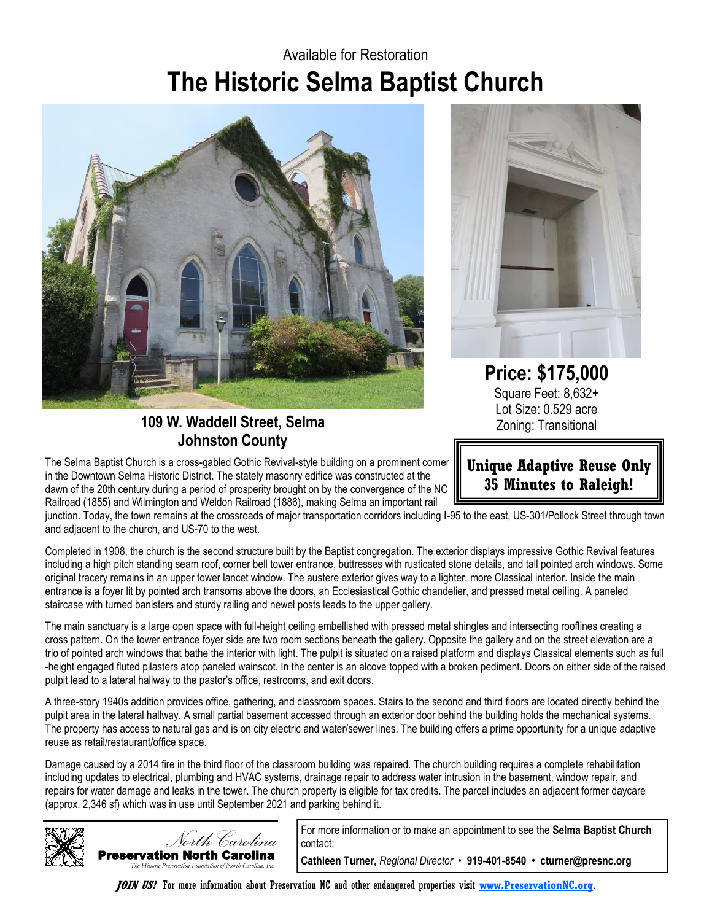## **The Historic Selma Baptist Church** Available for Restoration



**109 W. Waddell Street, Selma Johnston County**

The Selma Baptist Church is a cross-gabled Gothic Revival-style building on a prominent corner in the Downtown Selma Historic District. The stately masonry edifice was constructed at the dawn of the 20th century during a period of prosperity brought on by the convergence of the NC Railroad (1855) and Wilmington and Weldon Railroad (1886), making Selma an important rail



**Price: \$175,000** Square Feet: 8,632+ Lot Size: 0.529 acre Zoning: Transitional

**Unique Adaptive Reuse Only 35 Minutes to Raleigh!**

junction. Today, the town remains at the crossroads of major transportation corridors including I-95 to the east, US-301/Pollock Street through town and adjacent to the church, and US-70 to the west.

Completed in 1908, the church is the second structure built by the Baptist congregation. The exterior displays impressive Gothic Revival features including a high pitch standing seam roof, corner bell tower entrance, buttresses with rusticated stone details, and tall pointed arch windows. Some original tracery remains in an upper tower lancet window. The austere exterior gives way to a lighter, more Classical interior. Inside the main entrance is a foyer lit by pointed arch transoms above the doors, an Ecclesiastical Gothic chandelier, and pressed metal ceiling. A paneled staircase with turned banisters and sturdy railing and newel posts leads to the upper gallery.

The main sanctuary is a large open space with full-height ceiling embellished with pressed metal shingles and intersecting rooflines creating a cross pattern. On the tower entrance foyer side are two room sections beneath the gallery. Opposite the gallery and on the street elevation are a trio of pointed arch windows that bathe the interior with light. The pulpit is situated on a raised platform and displays Classical elements such as full -height engaged fluted pilasters atop paneled wainscot. In the center is an alcove topped with a broken pediment. Doors on either side of the raised pulpit lead to a lateral hallway to the pastor's office, restrooms, and exit doors.

A three-story 1940s addition provides office, gathering, and classroom spaces. Stairs to the second and third floors are located directly behind the pulpit area in the lateral hallway. A small partial basement accessed through an exterior door behind the building holds the mechanical systems. The property has access to natural gas and is on city electric and water/sewer lines. The building offers a prime opportunity for a unique adaptive reuse as retail/restaurant/office space.

Damage caused by a 2014 fire in the third floor of the classroom building was repaired. The church building requires a complete rehabilitation including updates to electrical, plumbing and HVAC systems, drainage repair to address water intrusion in the basement, window repair, and repairs for water damage and leaks in the tower. The church property is eligible for tax credits. The parcel includes an adjacent former daycare (approx. 2,346 sf) which was in use until September 2021 and parking behind it.



For more information or to make an appointment to see the **Selma Baptist Church**  contact:

**Cathleen Turner,** *Regional Director •* **919-401-8540 • cturner@presnc.org**

**JOIN US!** For more information about Preservation NC and other endangered properties visit **[www.PreservationNC.org](http://www.preservationnc.org/)**.